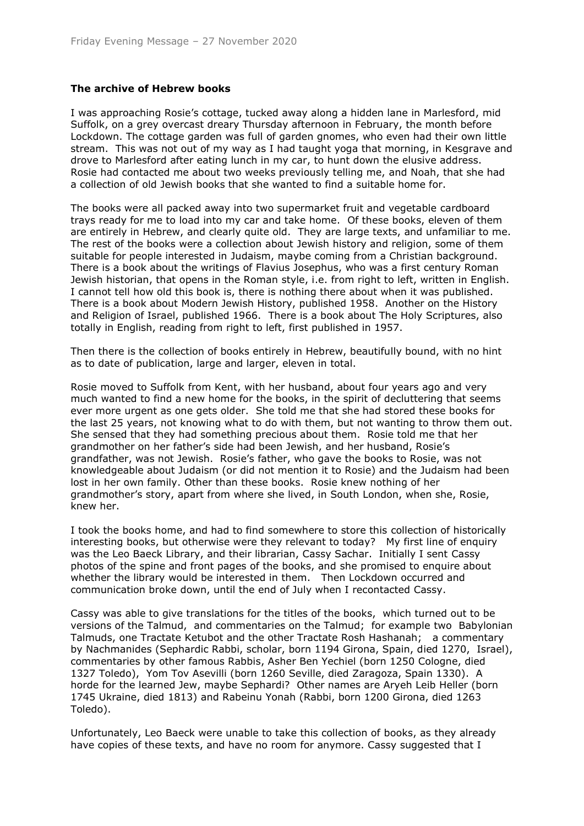## **The archive of Hebrew books**

I was approaching Rosie's cottage, tucked away along a hidden lane in Marlesford, mid Suffolk, on a grey overcast dreary Thursday afternoon in February, the month before Lockdown. The cottage garden was full of garden gnomes, who even had their own little stream. This was not out of my way as I had taught yoga that morning, in Kesgrave and drove to Marlesford after eating lunch in my car, to hunt down the elusive address. Rosie had contacted me about two weeks previously telling me, and Noah, that she had a collection of old Jewish books that she wanted to find a suitable home for.

The books were all packed away into two supermarket fruit and vegetable cardboard trays ready for me to load into my car and take home. Of these books, eleven of them are entirely in Hebrew, and clearly quite old. They are large texts, and unfamiliar to me. The rest of the books were a collection about Jewish history and religion, some of them suitable for people interested in Judaism, maybe coming from a Christian background. There is a book about the writings of Flavius Josephus, who was a first century Roman Jewish historian, that opens in the Roman style, i.e. from right to left, written in English. I cannot tell how old this book is, there is nothing there about when it was published. There is a book about Modern Jewish History, published 1958. Another on the History and Religion of Israel, published 1966. There is a book about The Holy Scriptures, also totally in English, reading from right to left, first published in 1957.

Then there is the collection of books entirely in Hebrew, beautifully bound, with no hint as to date of publication, large and larger, eleven in total.

Rosie moved to Suffolk from Kent, with her husband, about four years ago and very much wanted to find a new home for the books, in the spirit of decluttering that seems ever more urgent as one gets older. She told me that she had stored these books for the last 25 years, not knowing what to do with them, but not wanting to throw them out. She sensed that they had something precious about them. Rosie told me that her grandmother on her father's side had been Jewish, and her husband, Rosie's grandfather, was not Jewish. Rosie's father, who gave the books to Rosie, was not knowledgeable about Judaism (or did not mention it to Rosie) and the Judaism had been lost in her own family. Other than these books. Rosie knew nothing of her grandmother's story, apart from where she lived, in South London, when she, Rosie, knew her.

I took the books home, and had to find somewhere to store this collection of historically interesting books, but otherwise were they relevant to today? My first line of enquiry was the Leo Baeck Library, and their librarian, Cassy Sachar. Initially I sent Cassy photos of the spine and front pages of the books, and she promised to enquire about whether the library would be interested in them. Then Lockdown occurred and communication broke down, until the end of July when I recontacted Cassy.

Cassy was able to give translations for the titles of the books, which turned out to be versions of the Talmud, and commentaries on the Talmud; for example two Babylonian Talmuds, one Tractate Ketubot and the other Tractate Rosh Hashanah; a commentary by Nachmanides (Sephardic Rabbi, scholar, born 1194 Girona, Spain, died 1270, Israel), commentaries by other famous Rabbis, Asher Ben Yechiel (born 1250 Cologne, died 1327 Toledo), Yom Tov Asevilli (born 1260 Seville, died Zaragoza, Spain 1330). A horde for the learned Jew, maybe Sephardi? Other names are Aryeh Leib Heller (born 1745 Ukraine, died 1813) and Rabeinu Yonah (Rabbi, born 1200 Girona, died 1263 Toledo).

Unfortunately, Leo Baeck were unable to take this collection of books, as they already have copies of these texts, and have no room for anymore. Cassy suggested that I